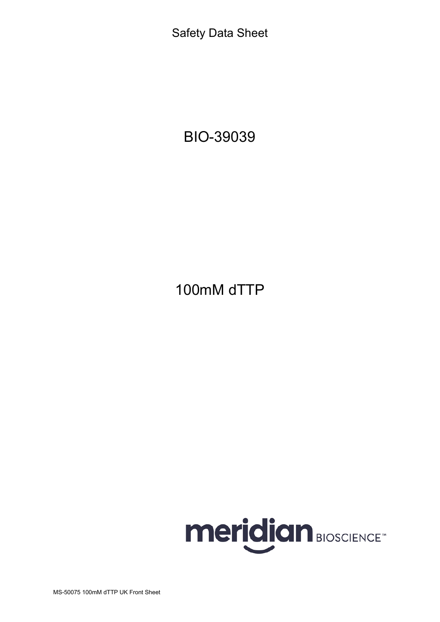Safety Data Sheet

BIO-39039

100mM dTTP

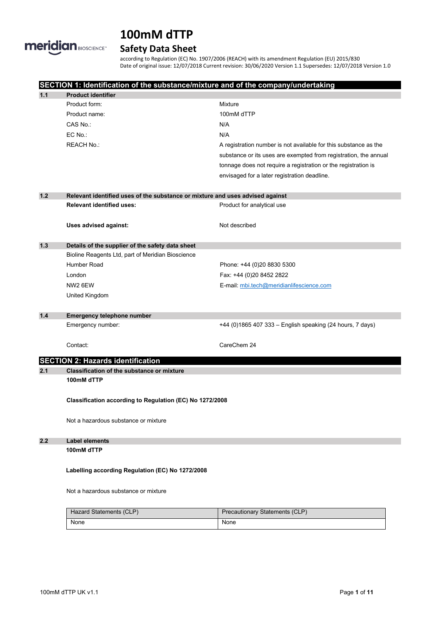

# **Safety Data Sheet**

according to Regulation (EC) No. 1907/2006 (REACH) with its amendment Regulation (EU) 2015/830 Date of original issue: 12/07/2018 Current revision: 30/06/2020 Version 1.1 Supersedes: 12/07/2018 Version 1.0

|                                      |                                                   | SECTION 1: Identification of the substance/mixture and of the company/undertaking |  |  |
|--------------------------------------|---------------------------------------------------|-----------------------------------------------------------------------------------|--|--|
| 1.1                                  | <b>Product identifier</b>                         |                                                                                   |  |  |
|                                      | Product form:                                     | Mixture                                                                           |  |  |
|                                      | Product name:                                     | 100mM dTTP                                                                        |  |  |
|                                      | CAS No.:                                          | N/A                                                                               |  |  |
|                                      | EC No.:                                           | N/A                                                                               |  |  |
|                                      | <b>REACH No.:</b>                                 | A registration number is not available for this substance as the                  |  |  |
|                                      |                                                   | substance or its uses are exempted from registration, the annual                  |  |  |
|                                      |                                                   | tonnage does not require a registration or the registration is                    |  |  |
|                                      |                                                   | envisaged for a later registration deadline.                                      |  |  |
|                                      |                                                   |                                                                                   |  |  |
| $1.2$                                |                                                   | Relevant identified uses of the substance or mixture and uses advised against     |  |  |
|                                      | <b>Relevant identified uses:</b>                  | Product for analytical use                                                        |  |  |
|                                      |                                                   |                                                                                   |  |  |
|                                      | Uses advised against:                             | Not described                                                                     |  |  |
|                                      |                                                   |                                                                                   |  |  |
| $1.3$                                | Details of the supplier of the safety data sheet  |                                                                                   |  |  |
|                                      | Bioline Reagents Ltd, part of Meridian Bioscience |                                                                                   |  |  |
|                                      | Humber Road                                       | Phone: +44 (0)20 8830 5300                                                        |  |  |
|                                      | London                                            | Fax: +44 (0)20 8452 2822                                                          |  |  |
|                                      | NW <sub>2</sub> 6EW                               | E-mail: mbi.tech@meridianlifescience.com                                          |  |  |
|                                      | United Kingdom                                    |                                                                                   |  |  |
|                                      |                                                   |                                                                                   |  |  |
| $1.4$                                | <b>Emergency telephone number</b>                 |                                                                                   |  |  |
|                                      | Emergency number:                                 | +44 (0)1865 407 333 - English speaking (24 hours, 7 days)                         |  |  |
|                                      |                                                   |                                                                                   |  |  |
|                                      | Contact:                                          | CareChem 24                                                                       |  |  |
|                                      | <b>SECTION 2: Hazards identification</b>          |                                                                                   |  |  |
| 2.1                                  | <b>Classification of the substance or mixture</b> |                                                                                   |  |  |
|                                      | 100mM dTTP                                        |                                                                                   |  |  |
|                                      |                                                   |                                                                                   |  |  |
|                                      |                                                   | Classification according to Regulation (EC) No 1272/2008                          |  |  |
|                                      |                                                   |                                                                                   |  |  |
|                                      | Not a hazardous substance or mixture              |                                                                                   |  |  |
|                                      |                                                   |                                                                                   |  |  |
| 2.2                                  | <b>Label elements</b>                             |                                                                                   |  |  |
|                                      | 100mM dTTP                                        |                                                                                   |  |  |
|                                      |                                                   |                                                                                   |  |  |
|                                      | Labelling according Regulation (EC) No 1272/2008  |                                                                                   |  |  |
|                                      |                                                   |                                                                                   |  |  |
| Not a hazardous substance or mixture |                                                   |                                                                                   |  |  |
|                                      |                                                   |                                                                                   |  |  |
|                                      | Hazard Statements (CLP)                           | <b>Precautionary Statements (CLP)</b>                                             |  |  |
|                                      | None                                              | None                                                                              |  |  |
|                                      |                                                   |                                                                                   |  |  |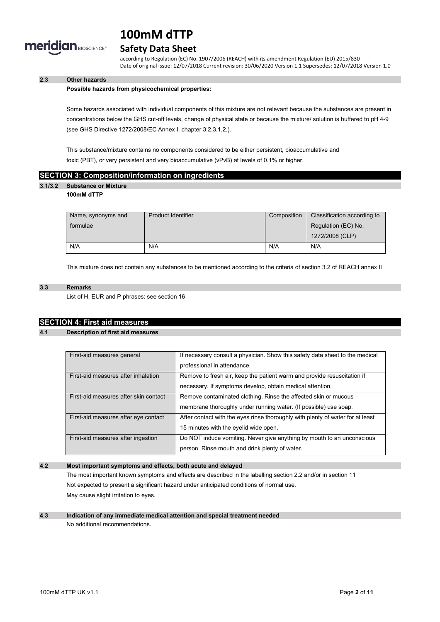

# **Safety Data Sheet**

according to Regulation (EC) No. 1907/2006 (REACH) with its amendment Regulation (EU) 2015/830 Date of original issue: 12/07/2018 Current revision: 30/06/2020 Version 1.1 Supersedes: 12/07/2018 Version 1.0

# **2.3 Other hazards**

#### **Possible hazards from physicochemical properties:**

Some hazards associated with individual components of this mixture are not relevant because the substances are present in concentrations below the GHS cut-off levels, change of physical state or because the mixture/ solution is buffered to pH 4-9 (see GHS Directive 1272/2008/EC Annex I, chapter 3.2.3.1.2.).

This substance/mixture contains no components considered to be either persistent, bioaccumulative and toxic (PBT), or very persistent and very bioaccumulative (vPvB) at levels of 0.1% or higher.

### **SECTION 3: Composition/information on ingredients**

# **3.1/3.2 Substance or Mixture**

#### **100mM dTTP**

| Name, synonyms and | <b>Product Identifier</b> | Composition | Classification according to |
|--------------------|---------------------------|-------------|-----------------------------|
| formulae           |                           |             | Regulation (EC) No.         |
|                    |                           |             | 1272/2008 (CLP)             |
| N/A                | N/A                       | N/A         | N/A                         |

This mixture does not contain any substances to be mentioned according to the criteria of section 3.2 of REACH annex II

#### **3.3 Remarks**

List of H, EUR and P phrases: see section 16

# **SECTION 4: First aid measures**

#### **4.1 Description of first aid measures**

| First-aid measures general            | If necessary consult a physician. Show this safety data sheet to the medical   |
|---------------------------------------|--------------------------------------------------------------------------------|
|                                       | professional in attendance.                                                    |
| First-aid measures after inhalation   | Remove to fresh air, keep the patient warm and provide resuscitation if        |
|                                       | necessary. If symptoms develop, obtain medical attention.                      |
| First-aid measures after skin contact | Remove contaminated clothing. Rinse the affected skin or mucous                |
|                                       | membrane thoroughly under running water. (If possible) use soap.               |
| First-aid measures after eye contact  | After contact with the eyes rinse thoroughly with plenty of water for at least |
|                                       | 15 minutes with the eyelid wide open.                                          |
| First-aid measures after ingestion    | Do NOT induce vomiting. Never give anything by mouth to an unconscious         |
|                                       | person. Rinse mouth and drink plenty of water.                                 |

### **4.2 Most important symptoms and effects, both acute and delayed**

The most important known symptoms and effects are described in the labelling section 2.2 and/or in section 11 Not expected to present a significant hazard under anticipated conditions of normal use. May cause slight irritation to eyes.

#### **4.3 Indication of any immediate medical attention and special treatment needed** No additional recommendations.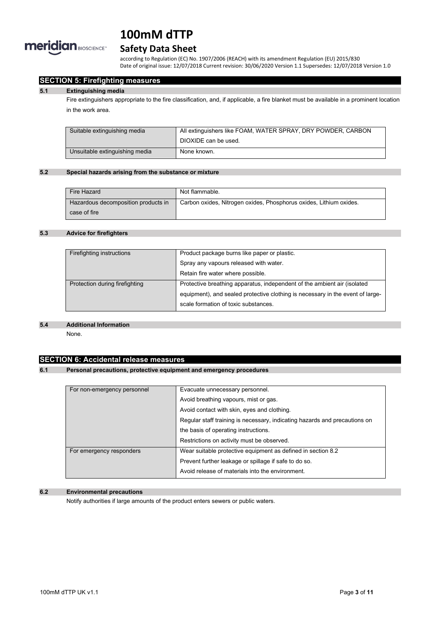

# **Safety Data Sheet**

according to Regulation (EC) No. 1907/2006 (REACH) with its amendment Regulation (EU) 2015/830 Date of original issue: 12/07/2018 Current revision: 30/06/2020 Version 1.1 Supersedes: 12/07/2018 Version 1.0

# **SECTION 5: Firefighting measures**

#### **5.1 Extinguishing media**

Fire extinguishers appropriate to the fire classification, and, if applicable, a fire blanket must be available in a prominent location in the work area.

| Suitable extinguishing media   | All extinguishers like FOAM, WATER SPRAY, DRY POWDER, CARBON |  |
|--------------------------------|--------------------------------------------------------------|--|
|                                | DIOXIDE can be used.                                         |  |
| Unsuitable extinguishing media | None known.                                                  |  |

#### **5.2 Special hazards arising from the substance or mixture**

| Fire Hazard                         | Not flammable.                                                     |
|-------------------------------------|--------------------------------------------------------------------|
| Hazardous decomposition products in | Carbon oxides, Nitrogen oxides, Phosphorus oxides, Lithium oxides. |
| case of fire                        |                                                                    |

### **5.3 Advice for firefighters**

| Product package burns like paper or plastic.                                   |
|--------------------------------------------------------------------------------|
| Spray any vapours released with water.                                         |
| Retain fire water where possible.                                              |
| Protective breathing apparatus, independent of the ambient air (isolated       |
| equipment), and sealed protective clothing is necessary in the event of large- |
| scale formation of toxic substances.                                           |
|                                                                                |

#### **5.4 Additional Information**

None.

# **SECTION 6: Accidental release measures**

### **6.1 Personal precautions, protective equipment and emergency procedures**

| For non-emergency personnel | Evacuate unnecessary personnel.                                            |
|-----------------------------|----------------------------------------------------------------------------|
|                             | Avoid breathing vapours, mist or gas.                                      |
|                             | Avoid contact with skin, eyes and clothing.                                |
|                             | Regular staff training is necessary, indicating hazards and precautions on |
|                             | the basis of operating instructions.                                       |
|                             | Restrictions on activity must be observed.                                 |
| For emergency responders    | Wear suitable protective equipment as defined in section 8.2               |
|                             | Prevent further leakage or spillage if safe to do so.                      |
|                             | Avoid release of materials into the environment.                           |

# **6.2 Environmental precautions**

Notify authorities if large amounts of the product enters sewers or public waters.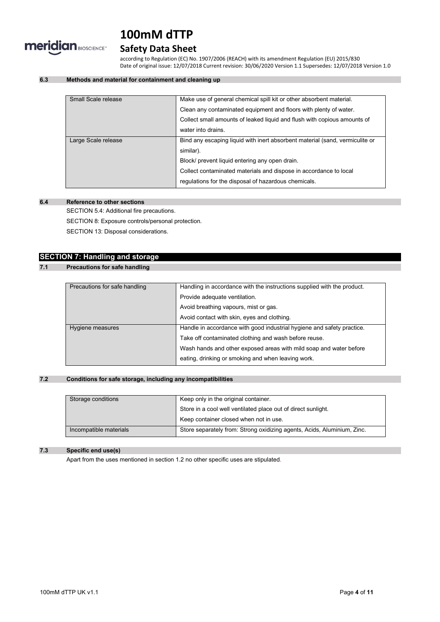

# **Safety Data Sheet**

according to Regulation (EC) No. 1907/2006 (REACH) with its amendment Regulation (EU) 2015/830 Date of original issue: 12/07/2018 Current revision: 30/06/2020 Version 1.1 Supersedes: 12/07/2018 Version 1.0

# **6.3 Methods and material for containment and cleaning up**

| Small Scale release | Make use of general chemical spill kit or other absorbent material.          |
|---------------------|------------------------------------------------------------------------------|
|                     | Clean any contaminated equipment and floors with plenty of water.            |
|                     | Collect small amounts of leaked liquid and flush with copious amounts of     |
|                     | water into drains.                                                           |
| Large Scale release | Bind any escaping liquid with inert absorbent material (sand, vermiculite or |
|                     | similar).                                                                    |
|                     | Block/ prevent liquid entering any open drain.                               |
|                     | Collect contaminated materials and dispose in accordance to local            |
|                     | regulations for the disposal of hazardous chemicals.                         |
|                     |                                                                              |

# **6.4 Reference to other sections**

SECTION 5.4: Additional fire precautions.

SECTION 8: Exposure controls/personal protection.

SECTION 13: Disposal considerations.

# **SECTION 7: Handling and storage**

# **7.1 Precautions for safe handling**

| Precautions for safe handling | Handling in accordance with the instructions supplied with the product. |
|-------------------------------|-------------------------------------------------------------------------|
|                               | Provide adequate ventilation.                                           |
|                               | Avoid breathing vapours, mist or gas.                                   |
|                               | Avoid contact with skin, eyes and clothing.                             |
| Hygiene measures              | Handle in accordance with good industrial hygiene and safety practice.  |
|                               | Take off contaminated clothing and wash before reuse.                   |
|                               | Wash hands and other exposed areas with mild soap and water before      |
|                               | eating, drinking or smoking and when leaving work.                      |

# **7.2 Conditions for safe storage, including any incompatibilities**

| Storage conditions     | Keep only in the original container.                                    |
|------------------------|-------------------------------------------------------------------------|
|                        | Store in a cool well ventilated place out of direct sunlight.           |
|                        | Keep container closed when not in use.                                  |
| Incompatible materials | Store separately from: Strong oxidizing agents, Acids, Aluminium, Zinc. |

## **7.3 Specific end use(s)**

Apart from the uses mentioned in section 1.2 no other specific uses are stipulated.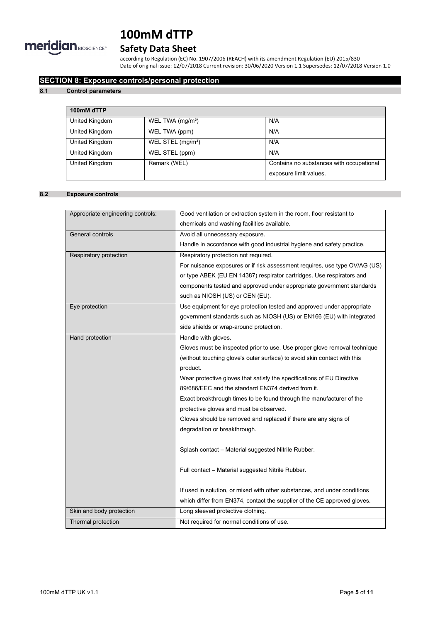

# **Safety Data Sheet**

according to Regulation (EC) No. 1907/2006 (REACH) with its amendment Regulation (EU) 2015/830 Date of original issue: 12/07/2018 Current revision: 30/06/2020 Version 1.1 Supersedes: 12/07/2018 Version 1.0

# **SECTION 8: Exposure controls/personal protection**

### **8.1 Control parameters**

| 100mM dTTP     |                               |                                          |
|----------------|-------------------------------|------------------------------------------|
| United Kingdom | WEL TWA (mg/m <sup>3</sup> )  | N/A                                      |
| United Kingdom | WEL TWA (ppm)                 | N/A                                      |
| United Kingdom | WEL STEL (mg/m <sup>3</sup> ) | N/A                                      |
| United Kingdom | WEL STEL (ppm)                | N/A                                      |
| United Kingdom | Remark (WEL)                  | Contains no substances with occupational |
|                |                               | exposure limit values.                   |

# **8.2 Exposure controls**

| Appropriate engineering controls: | Good ventilation or extraction system in the room, floor resistant to      |  |
|-----------------------------------|----------------------------------------------------------------------------|--|
|                                   | chemicals and washing facilities available.                                |  |
| General controls                  | Avoid all unnecessary exposure.                                            |  |
|                                   | Handle in accordance with good industrial hygiene and safety practice.     |  |
| Respiratory protection            | Respiratory protection not required.                                       |  |
|                                   | For nuisance exposures or if risk assessment requires, use type OV/AG (US) |  |
|                                   | or type ABEK (EU EN 14387) respirator cartridges. Use respirators and      |  |
|                                   | components tested and approved under appropriate government standards      |  |
|                                   | such as NIOSH (US) or CEN (EU).                                            |  |
| Eye protection                    | Use equipment for eye protection tested and approved under appropriate     |  |
|                                   | government standards such as NIOSH (US) or EN166 (EU) with integrated      |  |
|                                   | side shields or wrap-around protection.                                    |  |
| Hand protection                   | Handle with gloves.                                                        |  |
|                                   | Gloves must be inspected prior to use. Use proper glove removal technique  |  |
|                                   | (without touching glove's outer surface) to avoid skin contact with this   |  |
|                                   | product.                                                                   |  |
|                                   | Wear protective gloves that satisfy the specifications of EU Directive     |  |
|                                   | 89/686/EEC and the standard EN374 derived from it.                         |  |
|                                   | Exact breakthrough times to be found through the manufacturer of the       |  |
|                                   | protective gloves and must be observed.                                    |  |
|                                   | Gloves should be removed and replaced if there are any signs of            |  |
|                                   | degradation or breakthrough.                                               |  |
|                                   |                                                                            |  |
|                                   | Splash contact - Material suggested Nitrile Rubber.                        |  |
|                                   |                                                                            |  |
|                                   | Full contact - Material suggested Nitrile Rubber.                          |  |
|                                   |                                                                            |  |
|                                   | If used in solution, or mixed with other substances, and under conditions  |  |
|                                   | which differ from EN374, contact the supplier of the CE approved gloves.   |  |
| Skin and body protection          | Long sleeved protective clothing.                                          |  |
| Thermal protection                | Not required for normal conditions of use.                                 |  |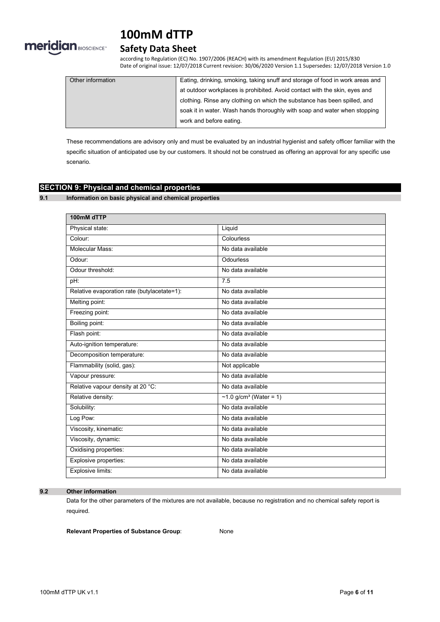

# **Safety Data Sheet**

according to Regulation (EC) No. 1907/2006 (REACH) with its amendment Regulation (EU) 2015/830 Date of original issue: 12/07/2018 Current revision: 30/06/2020 Version 1.1 Supersedes: 12/07/2018 Version 1.0

| Other information | Eating, drinking, smoking, taking snuff and storage of food in work areas and |
|-------------------|-------------------------------------------------------------------------------|
|                   | at outdoor workplaces is prohibited. Avoid contact with the skin, eyes and    |
|                   | clothing. Rinse any clothing on which the substance has been spilled, and     |
|                   | soak it in water. Wash hands thoroughly with soap and water when stopping     |
|                   | work and before eating.                                                       |

These recommendations are advisory only and must be evaluated by an industrial hygienist and safety officer familiar with the specific situation of anticipated use by our customers. It should not be construed as offering an approval for any specific use scenario.

# **SECTION 9: Physical and chemical properties**

**9.1 Information on basic physical and chemical properties**

| 100mM dTTP                                  |                           |
|---------------------------------------------|---------------------------|
| Physical state:                             | Liquid                    |
| Colour:                                     | Colourless                |
| Molecular Mass:                             | No data available         |
| Odour:                                      | <b>Odourless</b>          |
| Odour threshold:                            | No data available         |
| $pH$ :                                      | 7.5                       |
| Relative evaporation rate (butylacetate=1): | No data available         |
| Melting point:                              | No data available         |
| Freezing point:                             | No data available         |
| Boiling point:                              | No data available         |
| Flash point:                                | No data available         |
| Auto-ignition temperature:                  | No data available         |
| Decomposition temperature:                  | No data available         |
| Flammability (solid, gas):                  | Not applicable            |
| Vapour pressure:                            | No data available         |
| Relative vapour density at 20 °C:           | No data available         |
| Relative density:                           | ~1.0 $g/cm^3$ (Water = 1) |
| Solubility:                                 | No data available         |
| Log Pow:                                    | No data available         |
| Viscosity, kinematic:                       | No data available         |
| Viscosity, dynamic:                         | No data available         |
| Oxidising properties:                       | No data available         |
| Explosive properties:                       | No data available         |
| Explosive limits:                           | No data available         |

**9.2 Other information**

Data for the other parameters of the mixtures are not available, because no registration and no chemical safety report is required.

**Relevant Properties of Substance Group**: None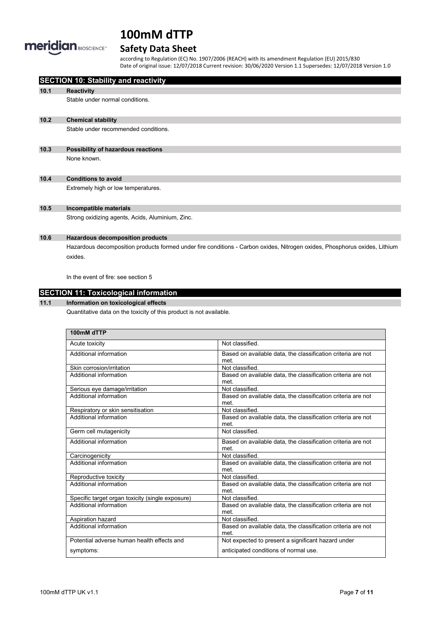

# **Safety Data Sheet**

according to Regulation (EC) No. 1907/2006 (REACH) with its amendment Regulation (EU) 2015/830 Date of original issue: 12/07/2018 Current revision: 30/06/2020 Version 1.1 Supersedes: 12/07/2018 Version 1.0

|      | <b>SECTION 10: Stability and reactivity</b>                                                                                           |
|------|---------------------------------------------------------------------------------------------------------------------------------------|
| 10.1 | <b>Reactivity</b>                                                                                                                     |
|      | Stable under normal conditions.                                                                                                       |
| 10.2 | <b>Chemical stability</b>                                                                                                             |
|      | Stable under recommended conditions.                                                                                                  |
| 10.3 | Possibility of hazardous reactions                                                                                                    |
|      | None known.                                                                                                                           |
| 10.4 | <b>Conditions to avoid</b>                                                                                                            |
|      | Extremely high or low temperatures.                                                                                                   |
| 10.5 | Incompatible materials                                                                                                                |
|      | Strong oxidizing agents, Acids, Aluminium, Zinc.                                                                                      |
| 10.6 | <b>Hazardous decomposition products</b>                                                                                               |
|      | Hazardous decomposition products formed under fire conditions - Carbon oxides, Nitrogen oxides, Phosphorus oxides, Lithium<br>oxides. |
|      | In the event of fire: see section 5                                                                                                   |

# **SECTION 11: Toxicological information**

# **11.1 Information on toxicological effects**

Quantitative data on the toxicity of this product is not available.

| 100mM dTTP                                       |                                                                      |
|--------------------------------------------------|----------------------------------------------------------------------|
| Acute toxicity                                   | Not classified.                                                      |
| Additional information                           | Based on available data, the classification criteria are not<br>met  |
| Skin corrosion/irritation                        | Not classified                                                       |
| Additional information                           | Based on available data, the classification criteria are not<br>met  |
| Serious eye damage/irritation                    | Not classified.                                                      |
| Additional information                           | Based on available data, the classification criteria are not<br>met. |
| Respiratory or skin sensitisation                | Not classified.                                                      |
| Additional information                           | Based on available data, the classification criteria are not<br>met. |
| Germ cell mutagenicity                           | Not classified.                                                      |
| Additional information                           | Based on available data, the classification criteria are not<br>met  |
| Carcinogenicity                                  | Not classified.                                                      |
| Additional information                           | Based on available data, the classification criteria are not<br>met  |
| Reproductive toxicity                            | Not classified.                                                      |
| Additional information                           | Based on available data, the classification criteria are not<br>met  |
| Specific target organ toxicity (single exposure) | Not classified.                                                      |
| Additional information                           | Based on available data, the classification criteria are not<br>met. |
| Aspiration hazard                                | Not classified.                                                      |
| Additional information                           | Based on available data, the classification criteria are not<br>met. |
| Potential adverse human health effects and       | Not expected to present a significant hazard under                   |
| symptoms:                                        | anticipated conditions of normal use.                                |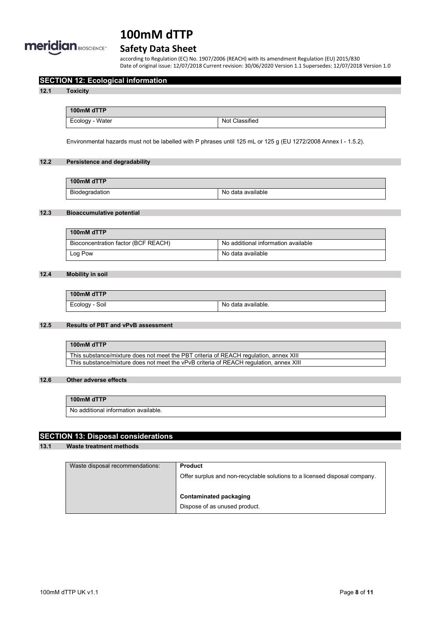

# **Safety Data Sheet**

according to Regulation (EC) No. 1907/2006 (REACH) with its amendment Regulation (EU) 2015/830 Date of original issue: 12/07/2018 Current revision: 30/06/2020 Version 1.1 Supersedes: 12/07/2018 Version 1.0

# **SECTION 12: Ecological information**

#### **12.1 Toxicity**

**100mM dTTP** Ecology - Water Not Classified

Environmental hazards must not be labelled with P phrases until 125 mL or 125 g (EU 1272/2008 Annex I - 1.5.2).

# **12.2 Persistence and degradability**

| 100mM dTTP     |                   |
|----------------|-------------------|
| Biodegradation | No data available |

# **12.3 Bioaccumulative potential**

| 100mM dTTP                          |                                     |
|-------------------------------------|-------------------------------------|
| Bioconcentration factor (BCF REACH) | No additional information available |
| Log Pow                             | No data available                   |

### **12.4 Mobility in soil**

| 100mM dTTP     |                    |
|----------------|--------------------|
| Ecology - Soil | No data available. |

### **12.5 Results of PBT and vPvB assessment**

| 100mM dTTP                                                                             |
|----------------------------------------------------------------------------------------|
| This substance/mixture does not meet the PBT criteria of REACH regulation, annex XIII  |
| This substance/mixture does not meet the vPvB criteria of REACH regulation, annex XIII |

#### **12.6 Other adverse effects**

#### **100mM dTTP**

No additional information available.

# **SECTION 13: Disposal considerations**

# **13.1 Waste treatment methods**

| Waste disposal recommendations: | <b>Product</b>                                                             |
|---------------------------------|----------------------------------------------------------------------------|
|                                 | Offer surplus and non-recyclable solutions to a licensed disposal company. |
|                                 | <b>Contaminated packaging</b><br>Dispose of as unused product.             |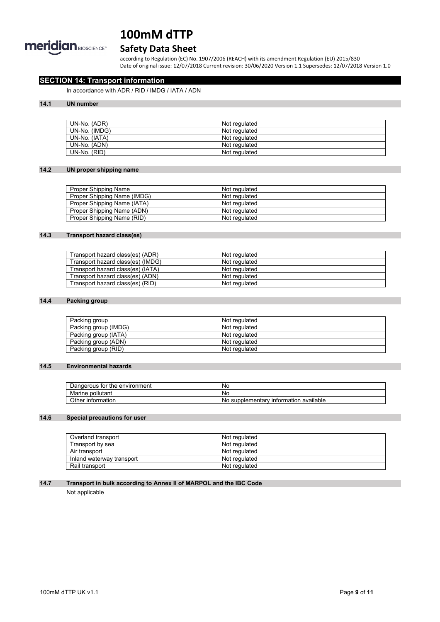

# **Safety Data Sheet**

according to Regulation (EC) No. 1907/2006 (REACH) with its amendment Regulation (EU) 2015/830 Date of original issue: 12/07/2018 Current revision: 30/06/2020 Version 1.1 Supersedes: 12/07/2018 Version 1.0

# **SECTION 14: Transport information**

In accordance with ADR / RID / IMDG / IATA / ADN

### **14.1 UN number**

| UN-No. (ADR)  | Not regulated |
|---------------|---------------|
| UN-No. (IMDG) | Not regulated |
| UN-No. (IATA) | Not regulated |
| UN-No. (ADN)  | Not regulated |
| UN-No. (RID)  | Not regulated |

# **14.2 UN proper shipping name**

| Proper Shipping Name        | Not regulated |
|-----------------------------|---------------|
| Proper Shipping Name (IMDG) | Not regulated |
| Proper Shipping Name (IATA) | Not regulated |
| Proper Shipping Name (ADN)  | Not regulated |
| Proper Shipping Name (RID)  | Not regulated |

# **14.3 Transport hazard class(es)**

| Transport hazard class(es) (ADR)  | Not regulated |
|-----------------------------------|---------------|
| Transport hazard class(es) (IMDG) | Not regulated |
| Transport hazard class(es) (IATA) | Not regulated |
| Transport hazard class(es) (ADN)  | Not regulated |
| Transport hazard class(es) (RID)  | Not regulated |

#### **14.4 Packing group**

| Packing group        | Not regulated |
|----------------------|---------------|
| Packing group (IMDG) | Not regulated |
| Packing group (IATA) | Not regulated |
| Packing group (ADN)  | Not regulated |
| Packing group (RID)  | Not regulated |

### **14.5 Environmental hazards**

| tor<br>the environment<br>Dangerous | Νc                                                |
|-------------------------------------|---------------------------------------------------|
| pollutant<br>Marine                 | <b>NC</b>                                         |
| Other<br>∶information               | available<br>supplementary<br>⊺ınformatıon<br>No. |

# **14.6 Special precautions for user**

| Overland transport        | Not regulated |
|---------------------------|---------------|
| Transport by sea          | Not regulated |
| Air transport             | Not regulated |
| Inland waterway transport | Not regulated |
| Rail transport            | Not regulated |

### **14.7 Transport in bulk according to Annex II of MARPOL and the IBC Code**

Not applicable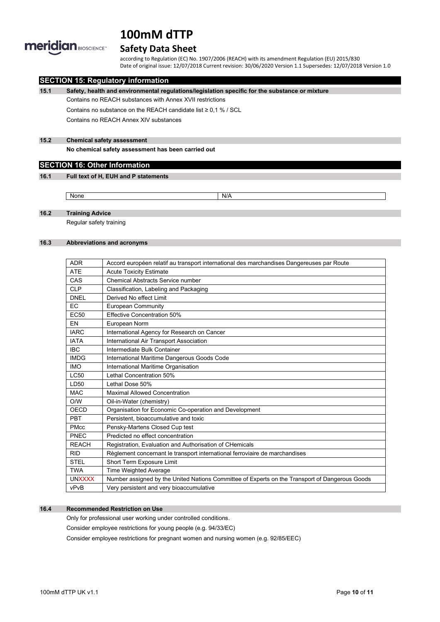

# **Safety Data Sheet**

according to Regulation (EC) No. 1907/2006 (REACH) with its amendment Regulation (EU) 2015/830 Date of original issue: 12/07/2018 Current revision: 30/06/2020 Version 1.1 Supersedes: 12/07/2018 Version 1.0

# **SECTION 15: Regulatory information**

**15.1 Safety, health and environmental regulations/legislation specific for the substance or mixture**

Contains no REACH substances with Annex XVII restrictions

Contains no substance on the REACH candidate list ≥ 0,1 % / SCL

Contains no REACH Annex XIV substances

### **15.2 Chemical safety assessment**

**No chemical safety assessment has been carried out**

# **SECTION 16: Other Information**

#### **16.1 Full text of H, EUH and P statements**

None None N/A

### **16.2 Training Advice**

Regular safety training

#### **16.3 Abbreviations and acronyms**

| <b>ADR</b>       | Accord européen relatif au transport international des marchandises Dangereuses par Route      |
|------------------|------------------------------------------------------------------------------------------------|
| <b>ATE</b>       | <b>Acute Toxicity Estimate</b>                                                                 |
| CAS              | <b>Chemical Abstracts Service number</b>                                                       |
| <b>CLP</b>       | Classification, Labeling and Packaging                                                         |
| <b>DNEL</b>      | Derived No effect I imit                                                                       |
| <b>EC</b>        | European Community                                                                             |
| EC <sub>50</sub> | <b>Effective Concentration 50%</b>                                                             |
| EN               | European Norm                                                                                  |
| <b>IARC</b>      | International Agency for Research on Cancer                                                    |
| <b>IATA</b>      | International Air Transport Association                                                        |
| <b>IBC</b>       | Intermediate Bulk Container                                                                    |
| <b>IMDG</b>      | International Maritime Dangerous Goods Code                                                    |
| <b>IMO</b>       | International Maritime Organisation                                                            |
| LC50             | Lethal Concentration 50%                                                                       |
| LD50             | Lethal Dose 50%                                                                                |
| <b>MAC</b>       | <b>Maximal Allowed Concentration</b>                                                           |
| O/W              | Oil-in-Water (chemistry)                                                                       |
| OECD             | Organisation for Economic Co-operation and Development                                         |
| <b>PBT</b>       | Persistent, bioaccumulative and toxic                                                          |
| <b>PMcc</b>      | Pensky-Martens Closed Cup test                                                                 |
| PNEC             | Predicted no effect concentration                                                              |
| <b>REACH</b>     | Registration, Evaluation and Authorisation of CHemicals                                        |
| <b>RID</b>       | Règlement concernant le transport international ferroviaire de marchandises                    |
| <b>STEL</b>      | Short Term Exposure Limit                                                                      |
| <b>TWA</b>       | <b>Time Weighted Average</b>                                                                   |
| <b>UNXXXX</b>    | Number assigned by the United Nations Committee of Experts on the Transport of Dangerous Goods |
| vPvB             | Very persistent and very bioaccumulative                                                       |

# **16.4 Recommended Restriction on Use**

Only for professional user working under controlled conditions.

Consider employee restrictions for young people (e.g. 94/33/EC)

Consider employee restrictions for pregnant women and nursing women (e.g. 92/85/EEC)